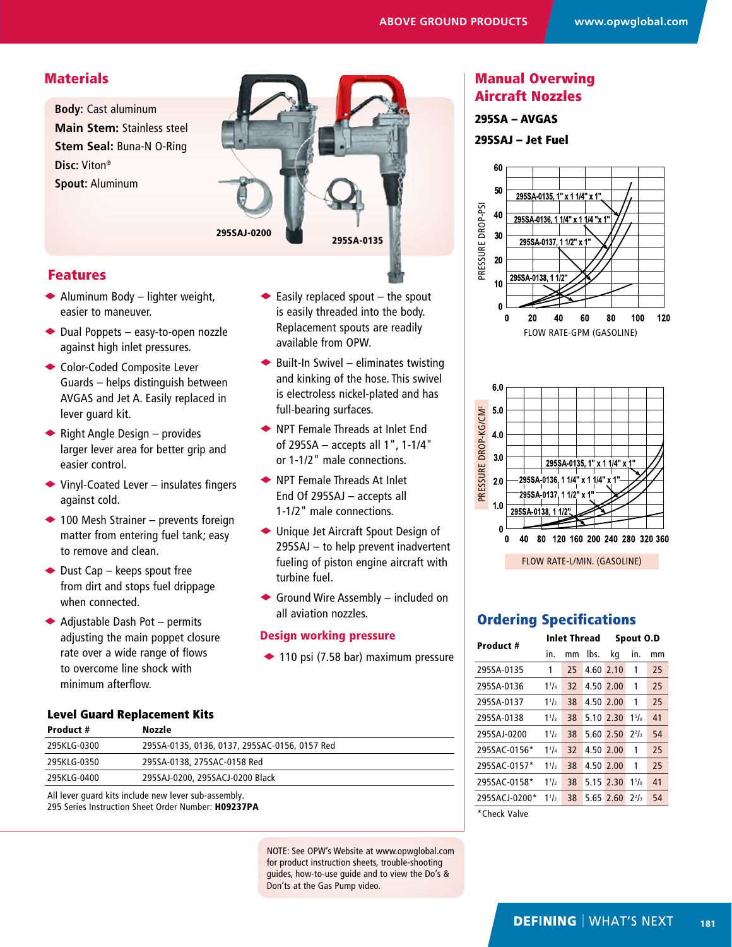## **Materials**

**Body:** Cast aluminum **Main Stem:** Stainless steel **Stem Seal:** Buna-N O-Ring **Disc:** Viton® **Spout:** Aluminum



 $\blacktriangleright$  Easily replaced spout – the spout is easily threaded into the body. Replacement spouts are readily

 $\bullet$  Built-In Swivel – eliminates twisting and kinking of the hose. This swivel is electroless nickel-plated and has

◆ NPT Female Threads at Inlet End of 295SA – accepts all 1", 1-1/4" or 1-1/2" male connections.  $\rightarrow$  NPT Female Threads At Inlet End Of 295SAJ – accepts all 1-1/2" male connections.

◆ Unique Jet Aircraft Spout Design of 295SAJ – to help prevent inadvertent fueling of piston engine aircraft with

 $\blacklozenge$  Ground Wire Assembly – included on

 $\triangle$  110 psi (7.58 bar) maximum pressure

available from OPW.

full-bearing surfaces.

turbine fuel.

all aviation nozzles. Design working pressure

### Features

- $\blacklozenge$  Aluminum Body lighter weight, easier to maneuver.
- $\blacktriangleright$  Dual Poppets easy-to-open nozzle against high inlet pressures.
- ◆ Color-Coded Composite Lever Guards – helps distinguish between AVGAS and Jet A. Easily replaced in lever guard kit.
- $\blacklozenge$  Right Angle Design provides larger lever area for better grip and easier control.
- $\blacktriangleright$  Vinyl-Coated Lever insulates fingers against cold.
- $\triangle$  100 Mesh Strainer prevents foreign matter from entering fuel tank; easy to remove and clean.
- $\bullet$  Dust Cap keeps spout free from dirt and stops fuel drippage when connected.
- $\blacklozenge$  Adjustable Dash Pot permits adjusting the main poppet closure rate over a wide range of flows to overcome line shock with minimum afterflow.

# Level Guard Replacement Kits

| Product #   | Nozzle                                               |  |
|-------------|------------------------------------------------------|--|
| 295KLG-0300 | 295SA-0135, 0136, 0137, 295SAC-0156, 0157 Red        |  |
| 295KLG-0350 | 295SA-0138, 275SAC-0158 Red                          |  |
| 295KLG-0400 | 295SAJ-0200, 295SACJ-0200 Black                      |  |
|             | All lever quard kits include new lever sub-assembly. |  |

295 Series Instruction Sheet Order Number: H09237PA

NOTE: See OPW's Website at www.opwglobal.com for product instruction sheets, trouble-shooting guides, how-to-use guide and to view the Do's & Don'ts at the Gas Pump video.

# Manual Overwing Aircraft Nozzles

#### 295SA – AVGAS

295SAJ – Jet Fuel





# Ordering Specifications

| Product #     |           | <b>Inlet Thread</b> |           | Spout O.D |              |    |
|---------------|-----------|---------------------|-----------|-----------|--------------|----|
|               | in.       | mm                  | lbs.      | ka        | in.          | mm |
| 295SA-0135    | 1         | 25                  | 4.60 2.10 |           | 1            | 25 |
| 295SA-0136    | $1^{1}/4$ | 32                  | 4.50 2.00 |           | 1            | 25 |
| 295SA-0137    | 11/2      | 38                  | 4.50 2.00 |           | 1            | 25 |
| 295SA-0138    | $1^{1/2}$ | 38                  |           | 5.10 2.30 | $1^{5}/3$    | 41 |
| 295SAJ-0200   | $1^{1/2}$ | 38                  |           | 5.60 2.50 | $2^{2}/_{3}$ | 54 |
| 295SAC-0156*  | $1^{11}$  | 32                  | 4.50 2.00 |           | 1            | 25 |
| 295SAC-0157*  | $1^{1/2}$ | 38                  | 4.50 2.00 |           | 1            | 25 |
| 295SAC-0158*  | $1^{1/2}$ | 38                  | 5.15 2.30 |           | $1^{5}/3$    | 41 |
| 295SACJ-0200* | $1^{1/2}$ | 38                  |           | 5.65 2.60 | $2^{2}/_{3}$ | 54 |
| *Chock Volvo  |           |                     |           |           |              |    |

**Check Valve**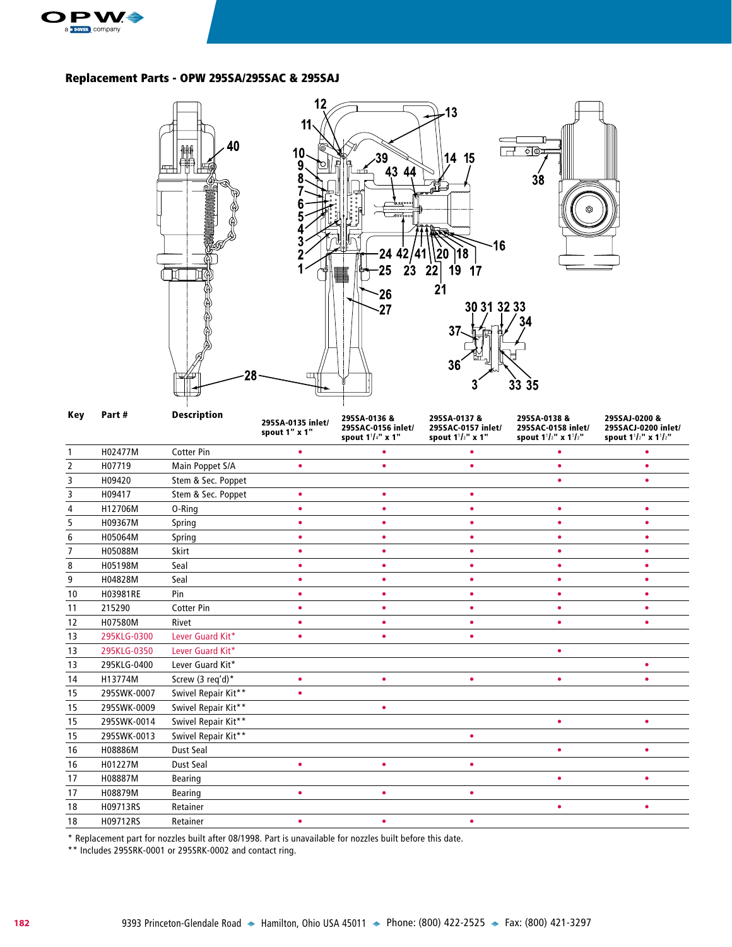

#### Replacement Parts - OPW 295SA/295SAC & 295SAJ



\* Replacement part for nozzles built after 08/1998. Part is unavailable for nozzles built before this date.

\*\* Includes 295SRK-0001 or 295SRK-0002 and contact ring.